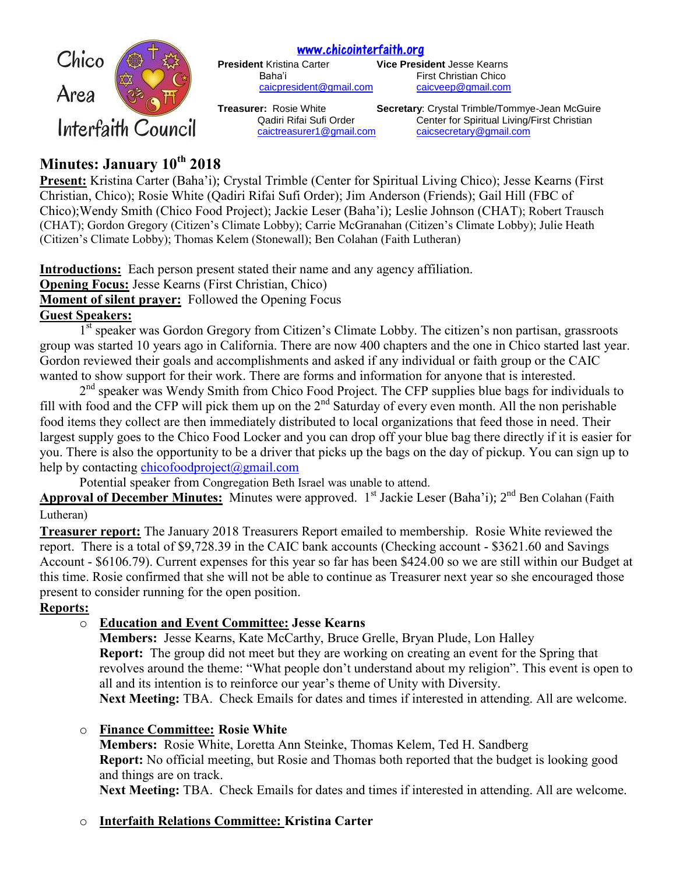[www.chicointerfaith.org](file:///C:/Users/CSL/Downloads/www.chicointerfaith.org)<br>President Kristina Carter **Dresse** 



**Vice President Jesse Kearns** Baha'i **Eirst Christian Chico** [caicpresident@gmail.com](mailto:caicpresident@gmail.com) [caicveep@gmail.com](mailto:caicveep@gmail.com)

**Treasurer:** Rosie White **Secretary**: Crystal Trimble/Tommye-Jean McGuire Qadiri Rifai Sufi Order Center for Spiritual Living/First Christian [caictreasurer1@gmail.com](mailto:caictreasurer1@gmail.com) [caicsecretary@gmail.com](mailto:caicsecretary@gmail.com)

# **Minutes: January 10th 2018**

**Present:** Kristina Carter (Baha'i); Crystal Trimble (Center for Spiritual Living Chico); Jesse Kearns (First Christian, Chico); Rosie White (Qadiri Rifai Sufi Order); Jim Anderson (Friends); Gail Hill (FBC of Chico);Wendy Smith (Chico Food Project); Jackie Leser (Baha'i); Leslie Johnson (CHAT); Robert Trausch (CHAT); Gordon Gregory (Citizen's Climate Lobby); Carrie McGranahan (Citizen's Climate Lobby); Julie Heath (Citizen's Climate Lobby); Thomas Kelem (Stonewall); Ben Colahan (Faith Lutheran)

**Introductions:** Each person present stated their name and any agency affiliation. **Opening Focus:** Jesse Kearns (First Christian, Chico) **Moment of silent prayer:** Followed the Opening Focus

**Guest Speakers:**

1<sup>st</sup> speaker was Gordon Gregory from Citizen's Climate Lobby. The citizen's non partisan, grassroots group was started 10 years ago in California. There are now 400 chapters and the one in Chico started last year. Gordon reviewed their goals and accomplishments and asked if any individual or faith group or the CAIC wanted to show support for their work. There are forms and information for anyone that is interested.

2<sup>nd</sup> speaker was Wendy Smith from Chico Food Project. The CFP supplies blue bags for individuals to fill with food and the CFP will pick them up on the  $2<sup>nd</sup>$  Saturday of every even month. All the non perishable food items they collect are then immediately distributed to local organizations that feed those in need. Their largest supply goes to the Chico Food Locker and you can drop off your blue bag there directly if it is easier for you. There is also the opportunity to be a driver that picks up the bags on the day of pickup. You can sign up to help by contacting [chicofoodproject@gmail.com](mailto:chicofoodproject@gmail.com)

Potential speaker from Congregation Beth Israel was unable to attend.

Approval of December Minutes: Minutes were approved. 1<sup>st</sup> Jackie Leser (Baha'i); 2<sup>nd</sup> Ben Colahan (Faith Lutheran)

**Treasurer report:** The January 2018 Treasurers Report emailed to membership. Rosie White reviewed the report. There is a total of \$9,728.39 in the CAIC bank accounts (Checking account - \$3621.60 and Savings Account - \$6106.79). Current expenses for this year so far has been \$424.00 so we are still within our Budget at this time. Rosie confirmed that she will not be able to continue as Treasurer next year so she encouraged those present to consider running for the open position.

## **Reports:**

## o **Education and Event Committee: Jesse Kearns**

**Members:** Jesse Kearns, Kate McCarthy, Bruce Grelle, Bryan Plude, Lon Halley **Report:** The group did not meet but they are working on creating an event for the Spring that revolves around the theme: "What people don't understand about my religion". This event is open to all and its intention is to reinforce our year's theme of Unity with Diversity.

**Next Meeting:** TBA. Check Emails for dates and times if interested in attending. All are welcome.

## o **Finance Committee: Rosie White**

**Members:** Rosie White, Loretta Ann Steinke, Thomas Kelem, Ted H. Sandberg **Report:** No official meeting, but Rosie and Thomas both reported that the budget is looking good and things are on track.

**Next Meeting:** TBA. Check Emails for dates and times if interested in attending. All are welcome.

## o **Interfaith Relations Committee: Kristina Carter**